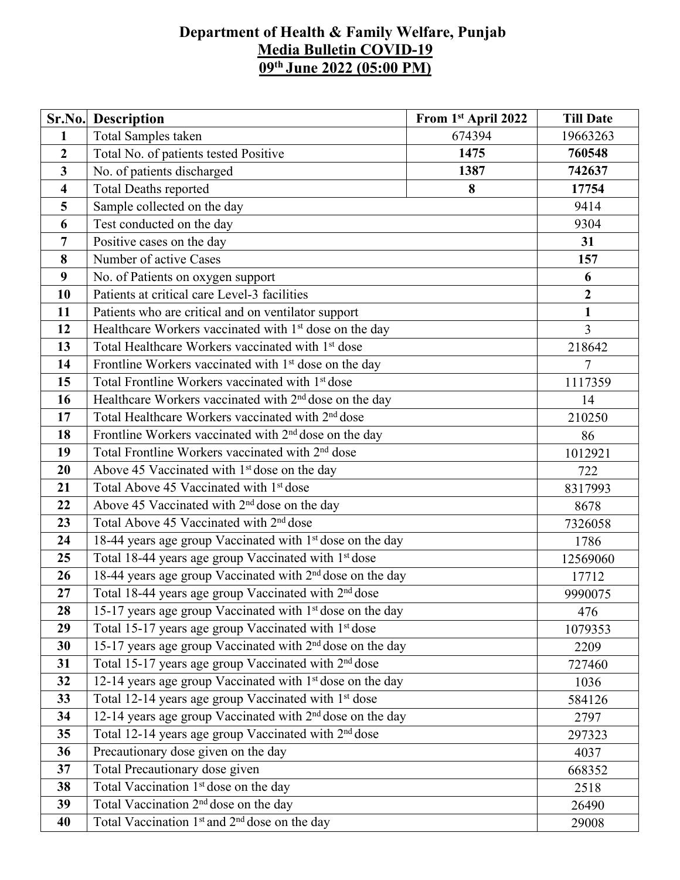## **Department of Health & Family Welfare, Punjab Media Bulletin COVID-19 09 th June 2022 (05:00 PM)**

|                         | <b>Sr.No.</b> Description                                             | From 1st April 2022 | <b>Till Date</b> |  |  |  |
|-------------------------|-----------------------------------------------------------------------|---------------------|------------------|--|--|--|
| $\mathbf{1}$            | Total Samples taken                                                   | 674394              | 19663263         |  |  |  |
| $\overline{2}$          | Total No. of patients tested Positive                                 | 1475                | 760548           |  |  |  |
| $\overline{3}$          | No. of patients discharged                                            | 742637              |                  |  |  |  |
| $\overline{\mathbf{4}}$ | <b>Total Deaths reported</b><br>8                                     |                     |                  |  |  |  |
| 5                       | Sample collected on the day                                           |                     | 9414             |  |  |  |
| 6                       | Test conducted on the day                                             |                     | 9304             |  |  |  |
| 7                       | Positive cases on the day                                             |                     | 31               |  |  |  |
| 8                       | Number of active Cases                                                |                     | 157              |  |  |  |
| 9                       | No. of Patients on oxygen support                                     |                     | 6                |  |  |  |
| 10                      | Patients at critical care Level-3 facilities                          |                     | $\boldsymbol{2}$ |  |  |  |
| 11                      | Patients who are critical and on ventilator support                   |                     | $\mathbf{1}$     |  |  |  |
| 12                      | Healthcare Workers vaccinated with 1 <sup>st</sup> dose on the day    |                     | $\overline{3}$   |  |  |  |
| 13                      | Total Healthcare Workers vaccinated with 1 <sup>st</sup> dose         |                     | 218642           |  |  |  |
| 14                      | Frontline Workers vaccinated with 1 <sup>st</sup> dose on the day     |                     | $\overline{7}$   |  |  |  |
| 15                      | Total Frontline Workers vaccinated with 1 <sup>st</sup> dose          |                     |                  |  |  |  |
| 16                      | Healthcare Workers vaccinated with 2 <sup>nd</sup> dose on the day    |                     |                  |  |  |  |
| 17                      | Total Healthcare Workers vaccinated with 2 <sup>nd</sup> dose         |                     |                  |  |  |  |
| 18                      | Frontline Workers vaccinated with $2nd$ dose on the day               |                     |                  |  |  |  |
| 19                      | Total Frontline Workers vaccinated with 2 <sup>nd</sup> dose          |                     |                  |  |  |  |
| 20                      | Above 45 Vaccinated with 1 <sup>st</sup> dose on the day              |                     |                  |  |  |  |
| 21                      | Total Above 45 Vaccinated with 1 <sup>st</sup> dose                   |                     |                  |  |  |  |
| 22                      | Above 45 Vaccinated with 2 <sup>nd</sup> dose on the day              |                     |                  |  |  |  |
| 23                      | Total Above 45 Vaccinated with 2 <sup>nd</sup> dose                   |                     |                  |  |  |  |
| 24                      | 18-44 years age group Vaccinated with 1 <sup>st</sup> dose on the day |                     | 7326058<br>1786  |  |  |  |
| 25                      | Total 18-44 years age group Vaccinated with 1 <sup>st</sup> dose      |                     | 12569060         |  |  |  |
| 26                      | 18-44 years age group Vaccinated with 2 <sup>nd</sup> dose on the day |                     |                  |  |  |  |
| 27                      | Total 18-44 years age group Vaccinated with 2 <sup>nd</sup> dose      |                     |                  |  |  |  |
| 28                      | 15-17 years age group Vaccinated with 1 <sup>st</sup> dose on the day |                     |                  |  |  |  |
| 29                      | Total 15-17 years age group Vaccinated with 1st dose                  |                     |                  |  |  |  |
| 30                      | 15-17 years age group Vaccinated with 2 <sup>nd</sup> dose on the day |                     |                  |  |  |  |
| 31                      | Total 15-17 years age group Vaccinated with 2 <sup>nd</sup> dose      |                     | 2209<br>727460   |  |  |  |
| 32                      | 12-14 years age group Vaccinated with 1 <sup>st</sup> dose on the day |                     | 1036             |  |  |  |
| 33                      | Total 12-14 years age group Vaccinated with 1 <sup>st</sup> dose      |                     |                  |  |  |  |
| 34                      | 12-14 years age group Vaccinated with 2 <sup>nd</sup> dose on the day |                     |                  |  |  |  |
| 35                      | Total 12-14 years age group Vaccinated with 2 <sup>nd</sup> dose      |                     |                  |  |  |  |
| 36                      | Precautionary dose given on the day                                   |                     |                  |  |  |  |
| 37                      | Total Precautionary dose given                                        |                     | 4037<br>668352   |  |  |  |
| 38                      | Total Vaccination 1 <sup>st</sup> dose on the day                     |                     |                  |  |  |  |
| 39                      | Total Vaccination 2 <sup>nd</sup> dose on the day                     |                     |                  |  |  |  |
| 40                      | Total Vaccination 1 <sup>st</sup> and 2 <sup>nd</sup> dose on the day |                     | 29008            |  |  |  |
|                         |                                                                       |                     |                  |  |  |  |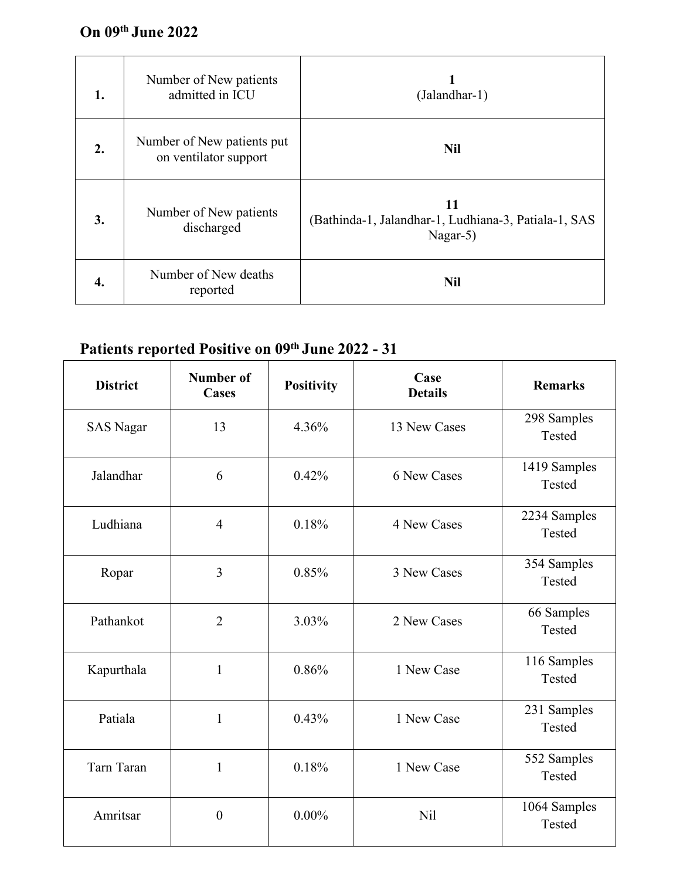| 1. | Number of New patients<br>admitted in ICU           | (Jalandhar-1)                                                          |
|----|-----------------------------------------------------|------------------------------------------------------------------------|
| 2. | Number of New patients put<br>on ventilator support | <b>Nil</b>                                                             |
| 3. | Number of New patients<br>discharged                | 11<br>(Bathinda-1, Jalandhar-1, Ludhiana-3, Patiala-1, SAS<br>Nagar-5) |
| 4. | Number of New deaths<br>reported                    | <b>Nil</b>                                                             |

## **Patients reported Positive on 09 th June 2022 - 31**

| <b>District</b>  | <b>Number of</b><br>Cases | <b>Positivity</b> | Case<br><b>Details</b> | <b>Remarks</b>         |
|------------------|---------------------------|-------------------|------------------------|------------------------|
| <b>SAS Nagar</b> | 13                        | 4.36%             | 13 New Cases           | 298 Samples<br>Tested  |
| Jalandhar        | 6                         | 0.42%             | 6 New Cases            | 1419 Samples<br>Tested |
| Ludhiana         | $\overline{4}$            | 0.18%             | 4 New Cases            | 2234 Samples<br>Tested |
| Ropar            | $\overline{3}$            | 0.85%             | 3 New Cases            | 354 Samples<br>Tested  |
| Pathankot        | $\overline{2}$            | 3.03%             | 2 New Cases            | 66 Samples<br>Tested   |
| Kapurthala       | $\mathbf{1}$              | 0.86%             | 1 New Case             | 116 Samples<br>Tested  |
| Patiala          | $\mathbf{1}$              | 0.43%             | 1 New Case             | 231 Samples<br>Tested  |
| Tarn Taran       | $\mathbf{1}$              | 0.18%             | 1 New Case             | 552 Samples<br>Tested  |
| Amritsar         | $\boldsymbol{0}$          | $0.00\%$          | Nil                    | 1064 Samples<br>Tested |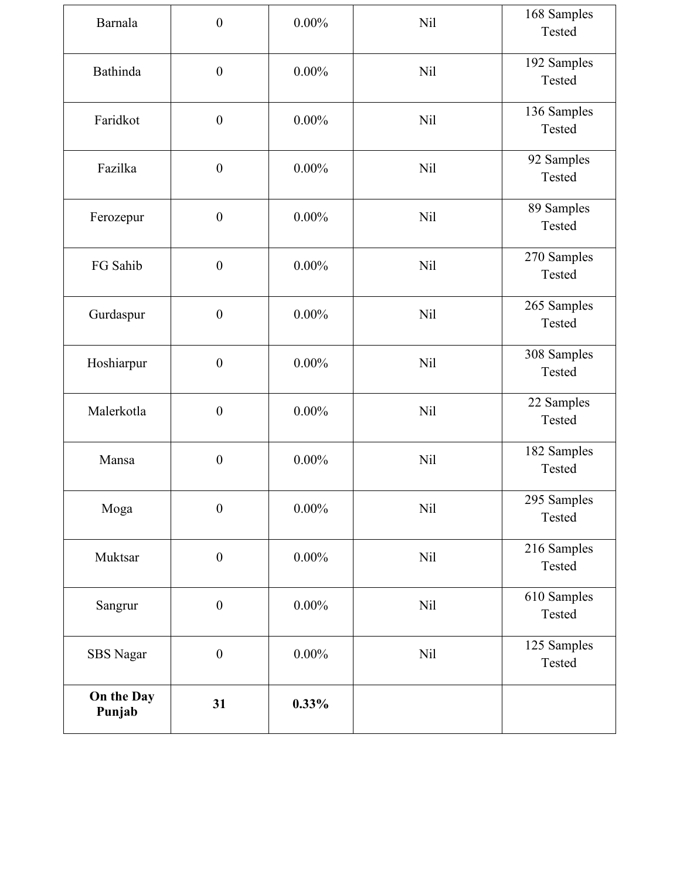| Barnala              | $\boldsymbol{0}$ | $0.00\%$ | Nil        | 168 Samples<br>Tested |
|----------------------|------------------|----------|------------|-----------------------|
| Bathinda             | $\boldsymbol{0}$ | $0.00\%$ | <b>Nil</b> | 192 Samples<br>Tested |
| Faridkot             | $\boldsymbol{0}$ | $0.00\%$ | <b>Nil</b> | 136 Samples<br>Tested |
| Fazilka              | $\boldsymbol{0}$ | $0.00\%$ | <b>Nil</b> | 92 Samples<br>Tested  |
| Ferozepur            | $\boldsymbol{0}$ | $0.00\%$ | <b>Nil</b> | 89 Samples<br>Tested  |
| FG Sahib             | $\boldsymbol{0}$ | $0.00\%$ | <b>Nil</b> | 270 Samples<br>Tested |
| Gurdaspur            | $\boldsymbol{0}$ | $0.00\%$ | <b>Nil</b> | 265 Samples<br>Tested |
| Hoshiarpur           | $\boldsymbol{0}$ | $0.00\%$ | Nil        | 308 Samples<br>Tested |
| Malerkotla           | $\boldsymbol{0}$ | $0.00\%$ | <b>Nil</b> | 22 Samples<br>Tested  |
| Mansa                | $\boldsymbol{0}$ | $0.00\%$ | <b>Nil</b> | 182 Samples<br>Tested |
| Moga                 | $\boldsymbol{0}$ | $0.00\%$ | <b>Nil</b> | 295 Samples<br>Tested |
| Muktsar              | $\boldsymbol{0}$ | $0.00\%$ | <b>Nil</b> | 216 Samples<br>Tested |
| Sangrur              | $\boldsymbol{0}$ | $0.00\%$ | Nil        | 610 Samples<br>Tested |
| <b>SBS</b> Nagar     | $\boldsymbol{0}$ | $0.00\%$ | <b>Nil</b> | 125 Samples<br>Tested |
| On the Day<br>Punjab | 31               | 0.33%    |            |                       |
|                      |                  |          |            |                       |